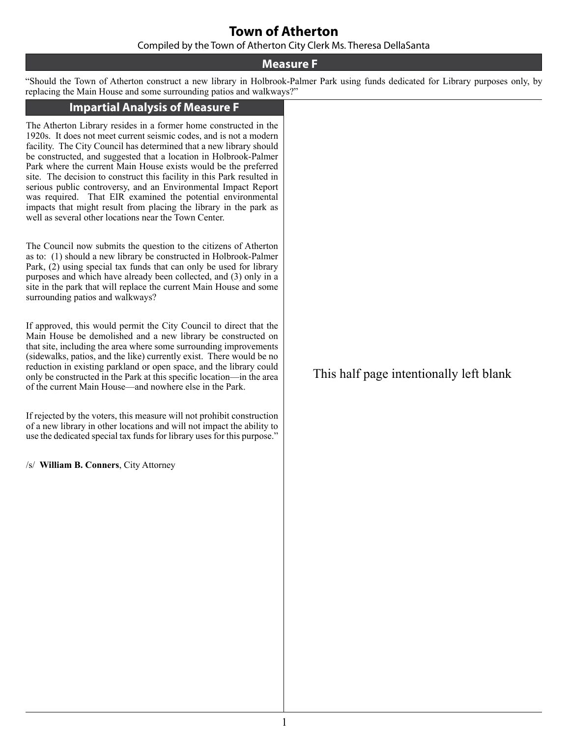### **Town of Atherton**

Compiled by the Town of Atherton City Clerk Ms. Theresa DellaSanta

#### **Measure F**

"Should the Town of Atherton construct a new library in Holbrook-Palmer Park using funds dedicated for Library purposes only, by replacing the Main House and some surrounding patios and walkways?"

#### **Impartial Analysis of Measure F**

The Atherton Library resides in a former home constructed in the 1920s. It does not meet current seismic codes, and is not a modern facility. The City Council has determined that a new library should be constructed, and suggested that a location in Holbrook-Palmer Park where the current Main House exists would be the preferred site. The decision to construct this facility in this Park resulted in serious public controversy, and an Environmental Impact Report was required. That EIR examined the potential environmental impacts that might result from placing the library in the park as well as several other locations near the Town Center.

The Council now submits the question to the citizens of Atherton as to: (1) should a new library be constructed in Holbrook-Palmer Park, (2) using special tax funds that can only be used for library purposes and which have already been collected, and (3) only in a site in the park that will replace the current Main House and some surrounding patios and walkways?

If approved, this would permit the City Council to direct that the Main House be demolished and a new library be constructed on that site, including the area where some surrounding improvements (sidewalks, patios, and the like) currently exist. There would be no reduction in existing parkland or open space, and the library could only be constructed in the Park at this specific location—in the area of the current Main House—and nowhere else in the Park.

If rejected by the voters, this measure will not prohibit construction of a new library in other locations and will not impact the ability to use the dedicated special tax funds for library uses for this purpose."

/s/ **William B. Conners**, City Attorney

This half page intentionally left blank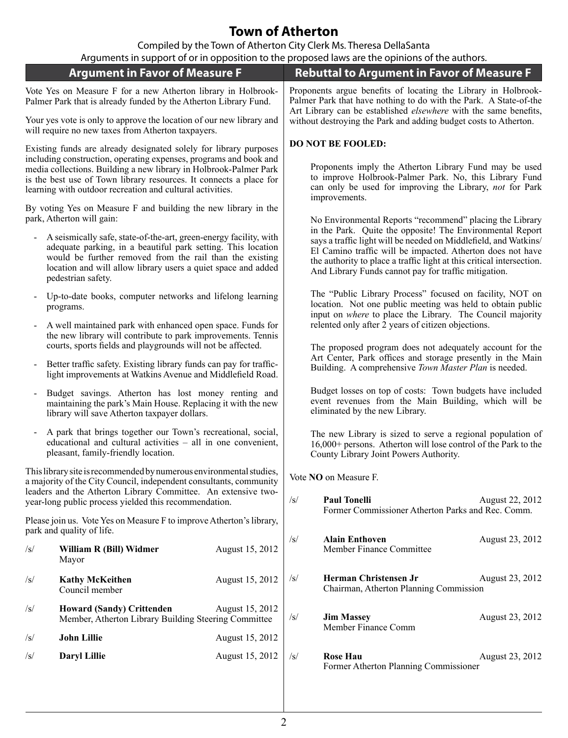# **Town of Atherton**

Compiled by the Town of Atherton City Clerk Ms. Theresa DellaSanta

|                                                                                                                                                                                                      |                                                                                                                                                                                                                                                                                      |                 | Arguments in support of or in opposition to the proposed laws are the opinions of the authors.                                                                                                                                                                                                                               |  |  |
|------------------------------------------------------------------------------------------------------------------------------------------------------------------------------------------------------|--------------------------------------------------------------------------------------------------------------------------------------------------------------------------------------------------------------------------------------------------------------------------------------|-----------------|------------------------------------------------------------------------------------------------------------------------------------------------------------------------------------------------------------------------------------------------------------------------------------------------------------------------------|--|--|
| <b>Argument in Favor of Measure F</b>                                                                                                                                                                |                                                                                                                                                                                                                                                                                      |                 | <b>Rebuttal to Argument in Favor of Measure F</b>                                                                                                                                                                                                                                                                            |  |  |
| Vote Yes on Measure F for a new Atherton library in Holbrook-<br>Palmer Park that is already funded by the Atherton Library Fund.                                                                    |                                                                                                                                                                                                                                                                                      |                 | Proponents argue benefits of locating the Library in Holbrook-<br>Palmer Park that have nothing to do with the Park. A State-of-the<br>Art Library can be established elsewhere with the same benefits,<br>without destroying the Park and adding budget costs to Atherton.                                                  |  |  |
| Your yes vote is only to approve the location of our new library and<br>will require no new taxes from Atherton taxpayers.                                                                           |                                                                                                                                                                                                                                                                                      |                 |                                                                                                                                                                                                                                                                                                                              |  |  |
| Existing funds are already designated solely for library purposes<br>including construction, operating expenses, programs and book and                                                               |                                                                                                                                                                                                                                                                                      |                 | <b>DO NOT BE FOOLED:</b><br>Proponents imply the Atherton Library Fund may be used<br>to improve Holbrook-Palmer Park. No, this Library Fund<br>can only be used for improving the Library, not for Park<br>improvements.                                                                                                    |  |  |
| media collections. Building a new library in Holbrook-Palmer Park<br>is the best use of Town library resources. It connects a place for<br>learning with outdoor recreation and cultural activities. |                                                                                                                                                                                                                                                                                      |                 |                                                                                                                                                                                                                                                                                                                              |  |  |
| By voting Yes on Measure F and building the new library in the<br>park, Atherton will gain:                                                                                                          |                                                                                                                                                                                                                                                                                      |                 | No Environmental Reports "recommend" placing the Library                                                                                                                                                                                                                                                                     |  |  |
|                                                                                                                                                                                                      | A seismically safe, state-of-the-art, green-energy facility, with<br>adequate parking, in a beautiful park setting. This location<br>would be further removed from the rail than the existing<br>location and will allow library users a quiet space and added<br>pedestrian safety. |                 | in the Park. Quite the opposite! The Environmental Report<br>says a traffic light will be needed on Middlefield, and Watkins/<br>El Camino traffic will be impacted. Atherton does not have<br>the authority to place a traffic light at this critical intersection.<br>And Library Funds cannot pay for traffic mitigation. |  |  |
|                                                                                                                                                                                                      | Up-to-date books, computer networks and lifelong learning<br>programs.<br>A well maintained park with enhanced open space. Funds for<br>the new library will contribute to park improvements. Tennis<br>courts, sports fields and playgrounds will not be affected.                  |                 | The "Public Library Process" focused on facility, NOT on<br>location. Not one public meeting was held to obtain public<br>input on <i>where</i> to place the Library. The Council majority<br>relented only after 2 years of citizen objections.<br>The proposed program does not adequately account for the                 |  |  |
| $\blacksquare$                                                                                                                                                                                       |                                                                                                                                                                                                                                                                                      |                 |                                                                                                                                                                                                                                                                                                                              |  |  |
|                                                                                                                                                                                                      | Better traffic safety. Existing library funds can pay for traffic-<br>light improvements at Watkins Avenue and Middlefield Road.                                                                                                                                                     |                 | Art Center, Park offices and storage presently in the Main<br>Building. A comprehensive Town Master Plan is needed.                                                                                                                                                                                                          |  |  |
| Budget savings. Atherton has lost money renting and<br>maintaining the park's Main House. Replacing it with the new<br>library will save Atherton taxpayer dollars.                                  |                                                                                                                                                                                                                                                                                      |                 | Budget losses on top of costs: Town budgets have included<br>event revenues from the Main Building, which will be<br>eliminated by the new Library.                                                                                                                                                                          |  |  |
| A park that brings together our Town's recreational, social,<br>educational and cultural activities - all in one convenient,<br>pleasant, family-friendly location.                                  |                                                                                                                                                                                                                                                                                      |                 | The new Library is sized to serve a regional population of<br>16,000+ persons. Atherton will lose control of the Park to the<br>County Library Joint Powers Authority.                                                                                                                                                       |  |  |
|                                                                                                                                                                                                      | This library site is recommended by numerous environmental studies,<br>a majority of the City Council, independent consultants, community                                                                                                                                            |                 | Vote NO on Measure F.                                                                                                                                                                                                                                                                                                        |  |  |
| leaders and the Atherton Library Committee. An extensive two-<br>year-long public process yielded this recommendation.                                                                               |                                                                                                                                                                                                                                                                                      |                 | $\sqrt{s}$<br><b>Paul Tonelli</b><br>August 22, 2012<br>Former Commissioner Atherton Parks and Rec. Comm.                                                                                                                                                                                                                    |  |  |
| Please join us. Vote Yes on Measure F to improve Atherton's library,<br>park and quality of life.                                                                                                    |                                                                                                                                                                                                                                                                                      |                 |                                                                                                                                                                                                                                                                                                                              |  |  |
| $\sqrt{s}$                                                                                                                                                                                           | William R (Bill) Widmer<br>Mayor                                                                                                                                                                                                                                                     | August 15, 2012 | <b>Alain Enthoven</b><br>$\sqrt{s}$<br>August 23, 2012<br>Member Finance Committee                                                                                                                                                                                                                                           |  |  |
| $\sqrt{s}$                                                                                                                                                                                           | <b>Kathy McKeithen</b><br>Council member                                                                                                                                                                                                                                             | August 15, 2012 | Herman Christensen Jr<br>August 23, 2012<br>$\sqrt{s}$<br>Chairman, Atherton Planning Commission                                                                                                                                                                                                                             |  |  |
| $\sqrt{s}$                                                                                                                                                                                           | <b>Howard (Sandy) Crittenden</b><br>Member, Atherton Library Building Steering Committee                                                                                                                                                                                             | August 15, 2012 | <b>Jim Massey</b><br>August 23, 2012<br>$\sqrt{s}$<br>Member Finance Comm                                                                                                                                                                                                                                                    |  |  |
| $\sqrt{s}$                                                                                                                                                                                           | <b>John Lillie</b>                                                                                                                                                                                                                                                                   | August 15, 2012 |                                                                                                                                                                                                                                                                                                                              |  |  |
| $\sqrt{s}$                                                                                                                                                                                           | Daryl Lillie                                                                                                                                                                                                                                                                         | August 15, 2012 | <b>Rose Hau</b><br>August 23, 2012<br>$\sqrt{s}$<br>Former Atherton Planning Commissioner                                                                                                                                                                                                                                    |  |  |
|                                                                                                                                                                                                      |                                                                                                                                                                                                                                                                                      |                 |                                                                                                                                                                                                                                                                                                                              |  |  |